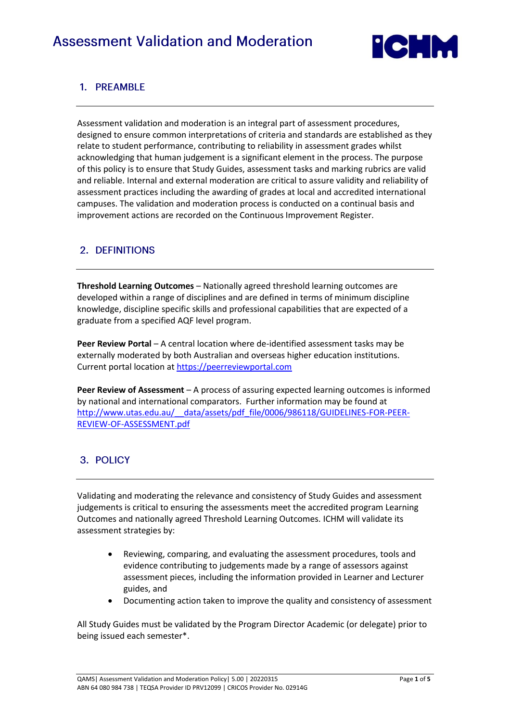

# 1. PREAMBLE

Assessment validation and moderation is an integral part of assessment procedures, designed to ensure common interpretations of criteria and standards are established as they relate to student performance, contributing to reliability in assessment grades whilst acknowledging that human judgement is a significant element in the process. The purpose of this policy is to ensure that Study Guides, assessment tasks and marking rubrics are valid and reliable. Internal and external moderation are critical to assure validity and reliability of assessment practices including the awarding of grades at local and accredited international campuses. The validation and moderation process is conducted on a continual basis and improvement actions are recorded on the Continuous Improvement Register.

## 2. DEFINITIONS

**Threshold Learning Outcomes** – Nationally agreed threshold learning outcomes are developed within a range of disciplines and are defined in terms of minimum discipline knowledge, discipline specific skills and professional capabilities that are expected of a graduate from a specified AQF level program.

**Peer Review Portal** – A central location where de-identified assessment tasks may be externally moderated by both Australian and overseas higher education institutions. Current portal location at [https://peerreviewportal.com](https://peerreviewportal.com/)

**Peer Review of Assessment** – A process of assuring expected learning outcomes is informed by national and international comparators. Further information may be found at http://www.utas.edu.au/ data/assets/pdf file/0006/986118/GUIDELINES-FOR-PEER-[REVIEW-OF-ASSESSMENT.pdf](http://www.utas.edu.au/__data/assets/pdf_file/0006/986118/GUIDELINES-FOR-PEER-REVIEW-OF-ASSESSMENT.pdf)

# 3. POLICY

Validating and moderating the relevance and consistency of Study Guides and assessment judgements is critical to ensuring the assessments meet the accredited program Learning Outcomes and nationally agreed Threshold Learning Outcomes. ICHM will validate its assessment strategies by:

- Reviewing, comparing, and evaluating the assessment procedures, tools and evidence contributing to judgements made by a range of assessors against assessment pieces, including the information provided in Learner and Lecturer guides, and
- Documenting action taken to improve the quality and consistency of assessment

All Study Guides must be validated by the Program Director Academic (or delegate) prior to being issued each semester\*.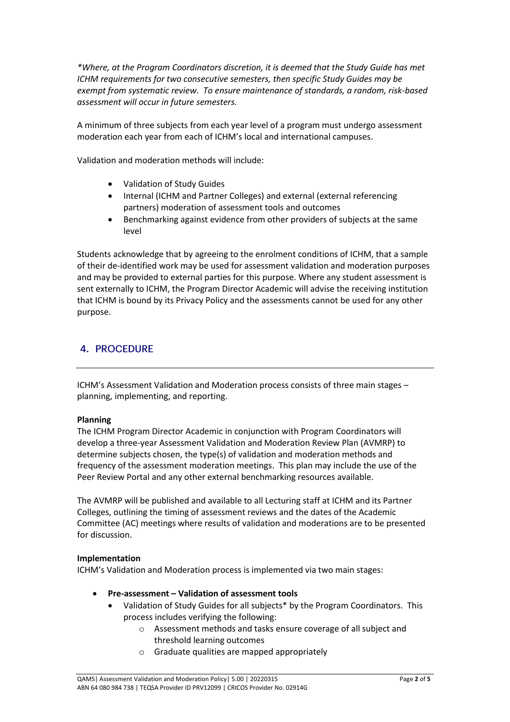*\*Where, at the Program Coordinators discretion, it is deemed that the Study Guide has met ICHM requirements for two consecutive semesters, then specific Study Guides may be exempt from systematic review. To ensure maintenance of standards, a random, risk-based assessment will occur in future semesters.*

A minimum of three subjects from each year level of a program must undergo assessment moderation each year from each of ICHM's local and international campuses.

Validation and moderation methods will include:

- Validation of Study Guides
- Internal (ICHM and Partner Colleges) and external (external referencing partners) moderation of assessment tools and outcomes
- Benchmarking against evidence from other providers of subjects at the same level

Students acknowledge that by agreeing to the enrolment conditions of ICHM, that a sample of their de-identified work may be used for assessment validation and moderation purposes and may be provided to external parties for this purpose. Where any student assessment is sent externally to ICHM, the Program Director Academic will advise the receiving institution that ICHM is bound by its Privacy Policy and the assessments cannot be used for any other purpose.

## **4. PROCEDURE**

ICHM's Assessment Validation and Moderation process consists of three main stages – planning, implementing, and reporting.

### **Planning**

The ICHM Program Director Academic in conjunction with Program Coordinators will develop a three-year Assessment Validation and Moderation Review Plan (AVMRP) to determine subjects chosen, the type(s) of validation and moderation methods and frequency of the assessment moderation meetings. This plan may include the use of the Peer Review Portal and any other external benchmarking resources available.

The AVMRP will be published and available to all Lecturing staff at ICHM and its Partner Colleges, outlining the timing of assessment reviews and the dates of the Academic Committee (AC) meetings where results of validation and moderations are to be presented for discussion.

#### **Implementation**

ICHM's Validation and Moderation process is implemented via two main stages:

- **Pre-assessment – Validation of assessment tools**
	- Validation of Study Guides for all subjects\* by the Program Coordinators. This process includes verifying the following:
		- o Assessment methods and tasks ensure coverage of all subject and threshold learning outcomes
		- o Graduate qualities are mapped appropriately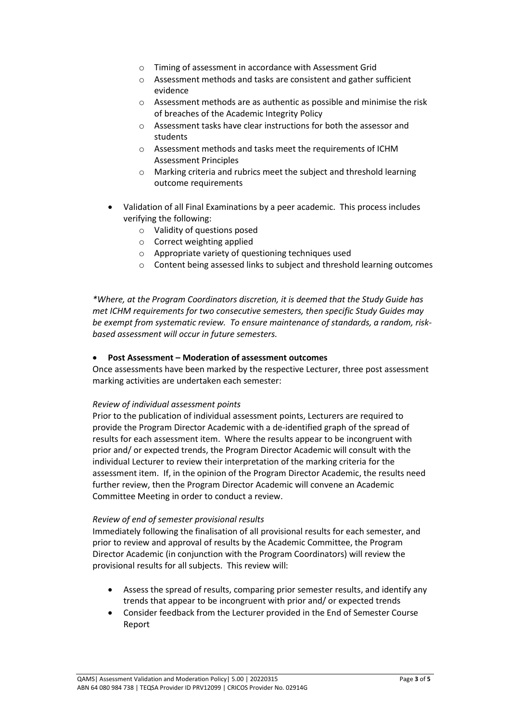- o Timing of assessment in accordance with Assessment Grid
- o Assessment methods and tasks are consistent and gather sufficient evidence
- o Assessment methods are as authentic as possible and minimise the risk of breaches of the Academic Integrity Policy
- o Assessment tasks have clear instructions for both the assessor and students
- o Assessment methods and tasks meet the requirements of ICHM Assessment Principles
- o Marking criteria and rubrics meet the subject and threshold learning outcome requirements
- Validation of all Final Examinations by a peer academic. This process includes verifying the following:
	- o Validity of questions posed
	- o Correct weighting applied
	- o Appropriate variety of questioning techniques used
	- o Content being assessed links to subject and threshold learning outcomes

*\*Where, at the Program Coordinators discretion, it is deemed that the Study Guide has met ICHM requirements for two consecutive semesters, then specific Study Guides may be exempt from systematic review. To ensure maintenance of standards, a random, riskbased assessment will occur in future semesters.*

#### • **Post Assessment – Moderation of assessment outcomes**

Once assessments have been marked by the respective Lecturer, three post assessment marking activities are undertaken each semester:

#### *Review of individual assessment points*

Prior to the publication of individual assessment points, Lecturers are required to provide the Program Director Academic with a de-identified graph of the spread of results for each assessment item. Where the results appear to be incongruent with prior and/ or expected trends, the Program Director Academic will consult with the individual Lecturer to review their interpretation of the marking criteria for the assessment item. If, in the opinion of the Program Director Academic, the results need further review, then the Program Director Academic will convene an Academic Committee Meeting in order to conduct a review.

#### *Review of end of semester provisional results*

Immediately following the finalisation of all provisional results for each semester, and prior to review and approval of results by the Academic Committee, the Program Director Academic (in conjunction with the Program Coordinators) will review the provisional results for all subjects. This review will:

- Assess the spread of results, comparing prior semester results, and identify any trends that appear to be incongruent with prior and/ or expected trends
- Consider feedback from the Lecturer provided in the End of Semester Course Report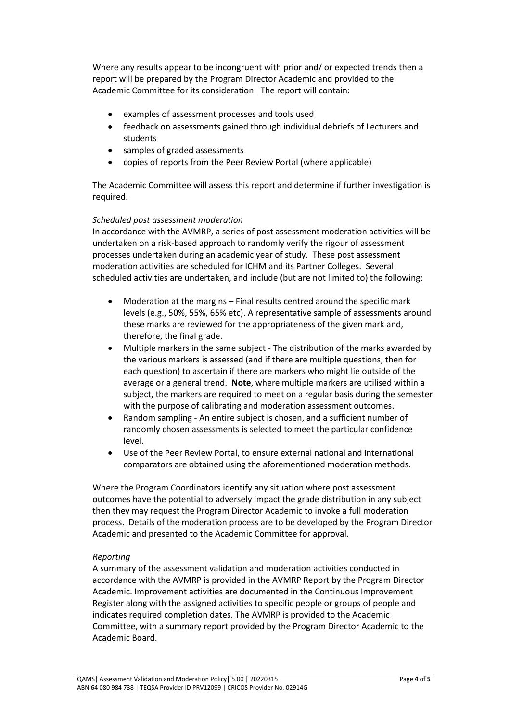Where any results appear to be incongruent with prior and/ or expected trends then a report will be prepared by the Program Director Academic and provided to the Academic Committee for its consideration. The report will contain:

- examples of assessment processes and tools used
- feedback on assessments gained through individual debriefs of Lecturers and students
- samples of graded assessments
- copies of reports from the Peer Review Portal (where applicable)

The Academic Committee will assess this report and determine if further investigation is required.

#### *Scheduled post assessment moderation*

In accordance with the AVMRP, a series of post assessment moderation activities will be undertaken on a risk-based approach to randomly verify the rigour of assessment processes undertaken during an academic year of study. These post assessment moderation activities are scheduled for ICHM and its Partner Colleges. Several scheduled activities are undertaken, and include (but are not limited to) the following:

- Moderation at the margins Final results centred around the specific mark levels (e.g., 50%, 55%, 65% etc). A representative sample of assessments around these marks are reviewed for the appropriateness of the given mark and, therefore, the final grade.
- Multiple markers in the same subject The distribution of the marks awarded by the various markers is assessed (and if there are multiple questions, then for each question) to ascertain if there are markers who might lie outside of the average or a general trend. **Note**, where multiple markers are utilised within a subject, the markers are required to meet on a regular basis during the semester with the purpose of calibrating and moderation assessment outcomes.
- Random sampling An entire subject is chosen, and a sufficient number of randomly chosen assessments is selected to meet the particular confidence level.
- Use of the Peer Review Portal, to ensure external national and international comparators are obtained using the aforementioned moderation methods.

Where the Program Coordinators identify any situation where post assessment outcomes have the potential to adversely impact the grade distribution in any subject then they may request the Program Director Academic to invoke a full moderation process. Details of the moderation process are to be developed by the Program Director Academic and presented to the Academic Committee for approval.

### *Reporting*

A summary of the assessment validation and moderation activities conducted in accordance with the AVMRP is provided in the AVMRP Report by the Program Director Academic. Improvement activities are documented in the Continuous Improvement Register along with the assigned activities to specific people or groups of people and indicates required completion dates. The AVMRP is provided to the Academic Committee, with a summary report provided by the Program Director Academic to the Academic Board.